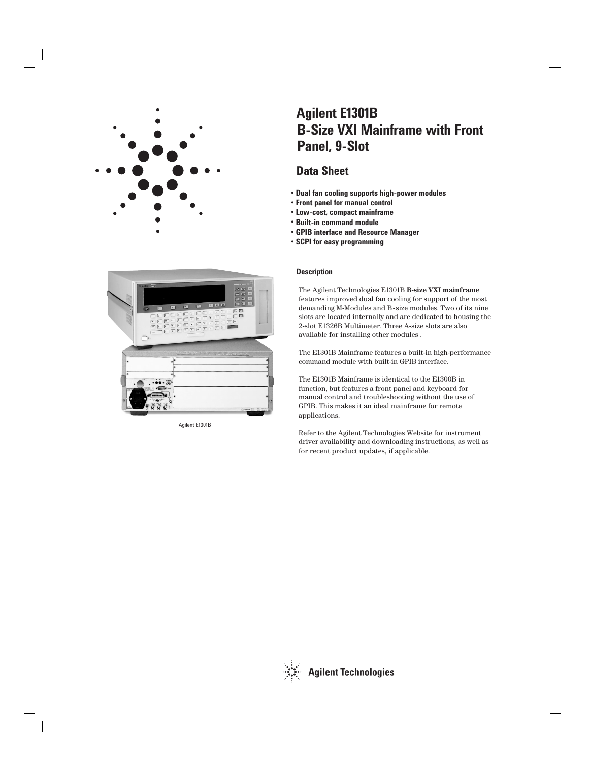



Agilent E1301B

# **B-Size VXI Mainframe with Front Panel, 9-Slot Agilent E1301B**

# **Data Sheet**

- **Dual fan cooling supports high-power modules**
- **Front panel for manual control**
- **Low-cost, compact mainframe**
- **Built-in command module**
- **GPIB interface and Resource Manager**
- **SCPI for easy programming**

# **Description**

The Agilent Technologies E1301B **B-size VXI mainframe** features improved dual fan cooling for support of the most demanding M-Modules and B-size modules. Two of its nine slots are located internally and are dedicated to housing the 2-slot E1326B Multimeter. Three A-size slots are also available for installing other modules .

The E1301B Mainframe features a built-in high-performance command module with built-in GPIB interface.

The E1301B Mainframe is identical to the E1300B in function, but features a front panel and keyboard for manual control and troubleshooting without the use of GPIB. This makes it an ideal mainframe for remote applications.

Refer to the Agilent Technologies Website for instrument driver availability and downloading instructions, as well as for recent product updates, if applicable.

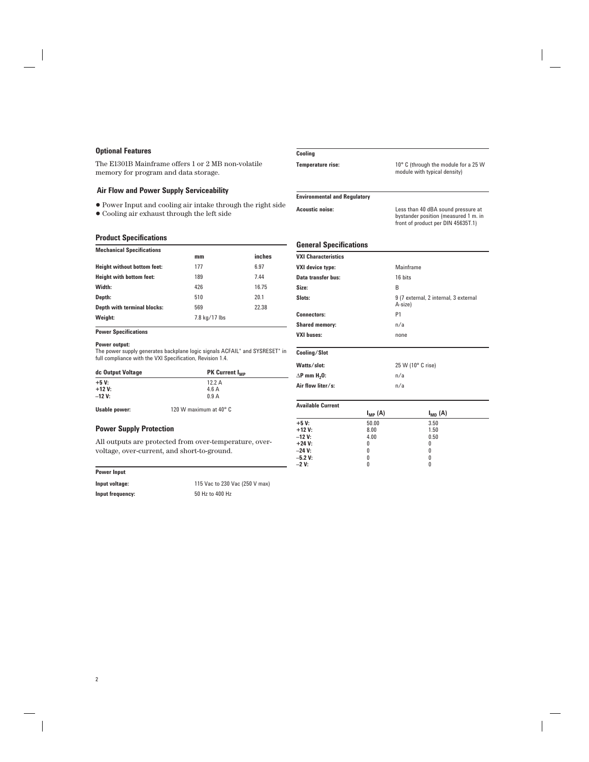#### **Optional Features**

The E1301B Mainframe offers 1 or 2 MB non-volatile memory for program and data storage.

### **Air Flow and Power Supply Serviceability**

• Power Input and cooling air intake through the right side

• Cooling air exhaust through the left side

#### **Product Specifications**

| <b>Mechanical Specifications</b> |               |        |
|----------------------------------|---------------|--------|
|                                  | mm            | inches |
| Height without bottom feet:      | 177           | 6.97   |
| Height with bottom feet:         | 189           | 7.44   |
| Width:                           | 426           | 16.75  |
| Depth:                           | 510           | 20.1   |
| Depth with terminal blocks:      | 569           | 22.38  |
| Weight:                          | 7.8 kg/17 lbs |        |

**Power Specifications**

#### **Power output:**

The power supply generates backplane logic signals ACFAIL\* and SYSRESET\* in full compliance with the VXI Specification, Revision 1.4.

| dc Output Voltage | <b>PK Current I<sub>MP</sub></b> |
|-------------------|----------------------------------|
| $+5V:$            | 12.2A                            |
| $+12V:$           | 4.6A                             |
| $-12$ V:          | 0.9A                             |
| Usable power:     | 120 W maximum at 40° C           |

## **Power Supply Protection**

All outputs are protected from over-temperature, overvoltage, over-current, and short-to-ground.

#### **Power Input**

**Input frequency:** 50 Hz to 400 Hz

**Input voltage:** 115 Vac to 230 Vac (250 V max)

#### **Cooling**

**Temperature rise:** 10° C (through the module for a 25 W module with typical density)

#### **Environmental and Regulatory**

**Acoustic noise:** Less than 40 dBA sound pressure at bystander position (measured 1 m. in front of product per DIN 45635T.1)

#### **General Specifications**

|                                 | $I_{MP}$ (A) | $I_{MD}$ (A)                                     |
|---------------------------------|--------------|--------------------------------------------------|
| <b>Available Current</b>        |              |                                                  |
| Air flow liter/s:               |              | n/a                                              |
| $\Delta$ P mm H <sub>2</sub> 0: |              | n/a                                              |
| Watts/slot:                     |              | 25 W (10° C rise)                                |
| Cooling/Slot                    |              |                                                  |
| <b>VXI buses:</b>               |              | none                                             |
| <b>Shared memory:</b>           |              | n/a                                              |
| <b>Connectors:</b>              |              | P1                                               |
| Slots:                          |              | 9 (7 external, 2 internal, 3 external<br>A-size) |
| Size:                           |              | B                                                |
| Data transfer bus:              |              | 16 bits                                          |
| <b>VXI device type:</b>         |              | Mainframe                                        |
| <b>VXI Characteristics</b>      |              |                                                  |

|           | $N = 1$ | $N_{\rm I}$ |  |
|-----------|---------|-------------|--|
| $+5V$     | 50.00   | 3.50        |  |
| $+12V:$   | 8.00    | 1.50        |  |
| $-12V$    | 4.00    | 0.50        |  |
| $+24 V:$  | 0       | 0           |  |
| $-24$ V:  | 0       | 0           |  |
| $-5.2 V:$ | 0       | 0           |  |
| $-2V:$    |         | 0           |  |
|           |         |             |  |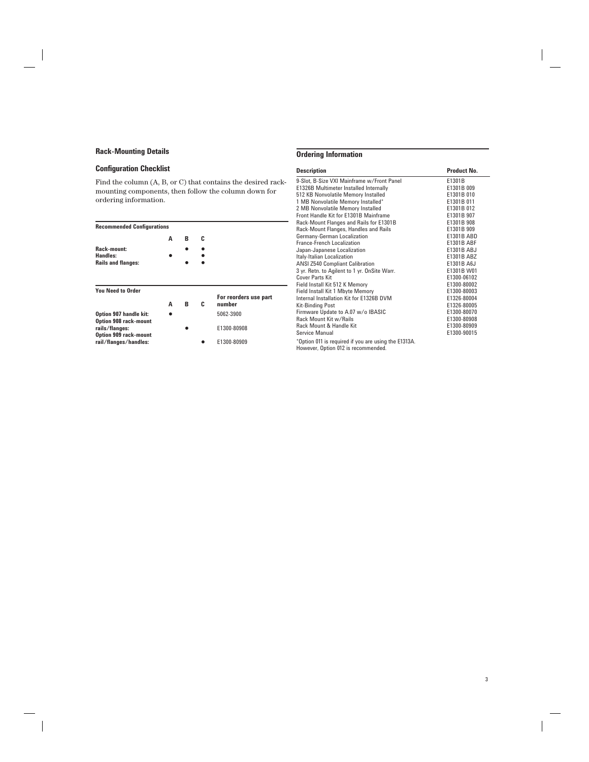# **Rack-Mounting Details**

# Configuration Checklist

**Option 909 rack-mount**

Find the column (A, B, or C) that contains the desired rackmounting components, then follow the column down for ordering information.

| <b>Recommended Configurations</b>                      |   |   |   |                       |
|--------------------------------------------------------|---|---|---|-----------------------|
|                                                        | А | в | C |                       |
| Rack-mount:                                            |   |   |   |                       |
| Handles:                                               |   |   |   |                       |
| <b>Rails and flanges:</b>                              |   |   |   |                       |
| <b>You Need to Order</b>                               |   |   |   | For reorders use part |
|                                                        | А | в | C | number                |
| Option 907 handle kit:<br><b>Option 908 rack-mount</b> |   |   |   | 5062-3900             |

**rails/flanges:** • **• •** E1300-80908

**rail/flanges/handles:** • E1300-80909

| <b>Description</b> |  |  |
|--------------------|--|--|

**Ordering Information**

| <b>Description</b>                                                                                 | Product No.       |
|----------------------------------------------------------------------------------------------------|-------------------|
| 9-Slot, B-Size VXI Mainframe w/Front Panel                                                         | E1301B            |
| E1326B Multimeter Installed Internally                                                             | E1301B 009        |
| 512 KB Nonvolatile Memory Installed                                                                | E1301B 010        |
| 1 MB Nonvolatile Memory Installed*                                                                 | E1301B 011        |
| 2 MB Nonvolatile Memory Installed                                                                  | E1301B 012        |
| Front Handle Kit for E1301B Mainframe                                                              | E1301B 907        |
| Rack-Mount Flanges and Rails for E1301B                                                            | E1301B 908        |
| Rack-Mount Flanges, Handles and Rails                                                              | E1301B 909        |
| Germany-German Localization                                                                        | E1301B ABD        |
| <b>France-French Localization</b>                                                                  | <b>E1301B ABF</b> |
| Japan-Japanese Localization                                                                        | E1301B ABJ        |
| Italy-Italian Localization                                                                         | E1301B ABZ        |
| <b>ANSI Z540 Compliant Calibration</b>                                                             | E1301B A6J        |
| 3 yr. Retn. to Agilent to 1 yr. OnSite Warr.                                                       | E1301B W01        |
| Cover Parts Kit                                                                                    | E1300-06102       |
| Field Install Kit 512 K Memory                                                                     | E1300-80002       |
| Field Install Kit 1 Mbyte Memory                                                                   | E1300-80003       |
| Internal Installation Kit for E1326B DVM                                                           | E1326-80004       |
| <b>Kit-Binding Post</b>                                                                            | E1326-80005       |
| Firmware Update to A.07 w/o IBASIC                                                                 | E1300-80070       |
| Rack Mount Kit w/Rails                                                                             | E1300-80908       |
| Rack Mount & Handle Kit                                                                            | E1300-80909       |
| Service Manual                                                                                     | E1300-90015       |
| *Option 011 is required if you are using the E1313A.<br>$\mathbf{r}$ , and the set of $\mathbf{r}$ |                   |

However, Option 012 is recommended.